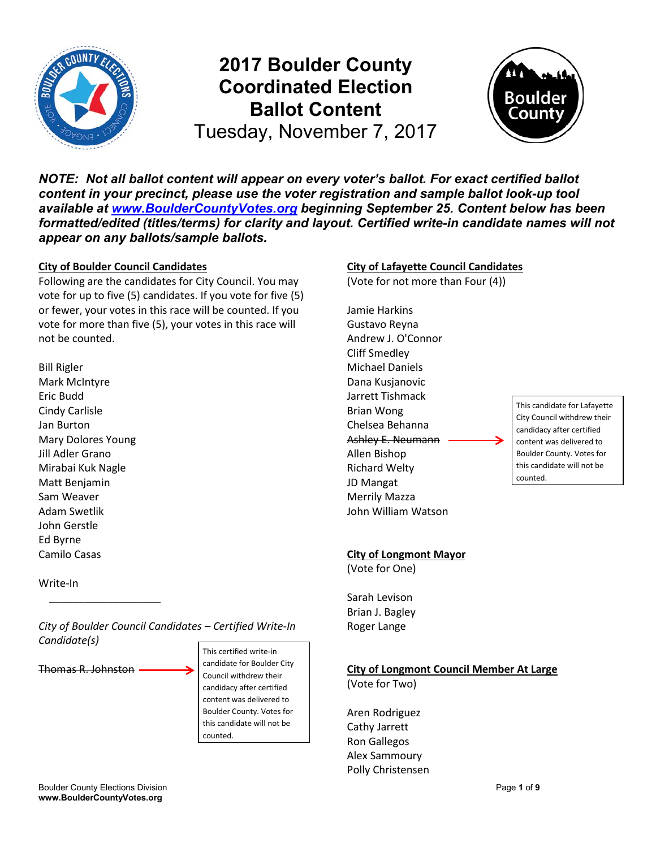

# **2017 Boulder County Coordinated Election Ballot Content**



Tuesday, November 7, 2017

*NOTE: Not all ballot content will appear on every voter's ballot. For exact certified ballot content in your precinct, please use the voter registration and sample ballot look-up tool available at www.BoulderCountyVotes.org beginning September 25. Content below has been formatted/edited (titles/terms) for clarity and layout. Certified write-in candidate names will not appear on any ballots/sample ballots.*

#### **City of Boulder Council Candidates**

Following are the candidates for City Council. You may vote for up to five (5) candidates. If you vote for five (5) or fewer, your votes in this race will be counted. If you vote for more than five (5), your votes in this race will not be counted.

Bill Rigler Mark McIntyre Eric Budd Cindy Carlisle Jan Burton Mary Dolores Young Jill Adler Grano Mirabai Kuk Nagle Matt Benjamin Sam Weaver Adam Swetlik John Gerstle Ed Byrne Camilo Casas

Write-In

*City of Boulder Council Candidates – Certified Write-In Candidate(s)*

Thomas R. Johnston

 $\overline{\phantom{a}}$  , and the set of the set of the set of the set of the set of the set of the set of the set of the set of the set of the set of the set of the set of the set of the set of the set of the set of the set of the s

This certified write-in candidate for Boulder City Council withdrew their candidacy after certified content was delivered to Boulder County. Votes for this candidate will not be counted.

#### **City of Lafayette Council Candidates**

(Vote for not more than Four (4))

Jamie Harkins Gustavo Reyna Andrew J. O'Connor Cliff Smedley Michael Daniels Dana Kusjanovic Jarrett Tishmack Brian Wong Chelsea Behanna Ashley E. Neumann Allen Bishop Richard Welty JD Mangat Merrily Mazza John William Watson

This candidate for Lafayette City Council withdrew their candidacy after certified content was delivered to Boulder County. Votes for this candidate will not be counted.

#### **City of Longmont Mayor**

(Vote for One)

Sarah Levison Brian J. Bagley Roger Lange

## **City of Longmont Council Member At Large**

(Vote for Two)

Aren Rodriguez Cathy Jarrett Ron Gallegos Alex Sammoury Polly Christensen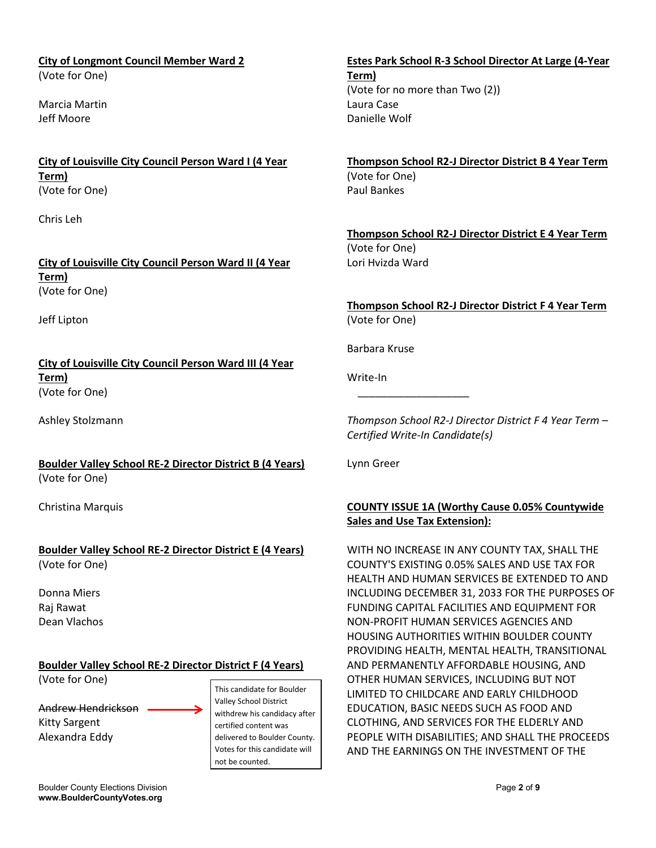#### **City of Longmont Council Member Ward 2** (Vote for One)

Marcia Martin Jeff Moore

**City of Louisville City Council Person Ward I (4 Year Term)** (Vote for One)

Chris Leh

**City of Louisville City Council Person Ward II (4 Year Term)** (Vote for One)

Jeff Lipton

**City of Louisville City Council Person Ward III (4 Year Term)** (Vote for One)

Ashley Stolzmann

**Boulder Valley School RE-2 Director District B (4 Years)** (Vote for One)

Christina Marquis

#### **Boulder Valley School RE-2 Director District E (4 Years)** (Vote for One)

Donna Miers Raj Rawat Dean Vlachos

## **Boulder Valley School RE-2 Director District F (4 Years)**

(Vote for One)

Andrew Hendrickson Kitty Sargent Alexandra Eddy

This candidate for Boulder Valley School District withdrew his candidacy after certified content was delivered to Boulder County. Votes for this candidate will not be counted.

# **Estes Park School R-3 School Director At Large (4-Year**

**Term)** (Vote for no more than Two (2)) Laura Case Danielle Wolf

**Thompson School R2-J Director District B 4 Year Term** (Vote for One) Paul Bankes

**Thompson School R2-J Director District E 4 Year Term** (Vote for One) Lori Hvizda Ward

**Thompson School R2-J Director District F 4 Year Term** (Vote for One)

Barbara Kruse

 $\overline{\phantom{a}}$  , and the set of the set of the set of the set of the set of the set of the set of the set of the set of the set of the set of the set of the set of the set of the set of the set of the set of the set of the s

Write-In

*Thompson School R2-J Director District F 4 Year Term – Certified Write-In Candidate(s)*

Lynn Greer

## **COUNTY ISSUE 1A (Worthy Cause 0.05% Countywide Sales and Use Tax Extension):**

WITH NO INCREASE IN ANY COUNTY TAX, SHALL THE COUNTY'S EXISTING 0.05% SALES AND USE TAX FOR HEALTH AND HUMAN SERVICES BE EXTENDED TO AND INCLUDING DECEMBER 31, 2033 FOR THE PURPOSES OF FUNDING CAPITAL FACILITIES AND EQUIPMENT FOR NON-PROFIT HUMAN SERVICES AGENCIES AND HOUSING AUTHORITIES WITHIN BOULDER COUNTY PROVIDING HEALTH, MENTAL HEALTH, TRANSITIONAL AND PERMANENTLY AFFORDABLE HOUSING, AND OTHER HUMAN SERVICES, INCLUDING BUT NOT LIMITED TO CHILDCARE AND EARLY CHILDHOOD EDUCATION, BASIC NEEDS SUCH AS FOOD AND CLOTHING, AND SERVICES FOR THE ELDERLY AND PEOPLE WITH DISABILITIES; AND SHALL THE PROCEEDS AND THE EARNINGS ON THE INVESTMENT OF THE

Boulder County Elections Division **Page 2** of 9 and 2 of 9 **www.BoulderCountyVotes.org**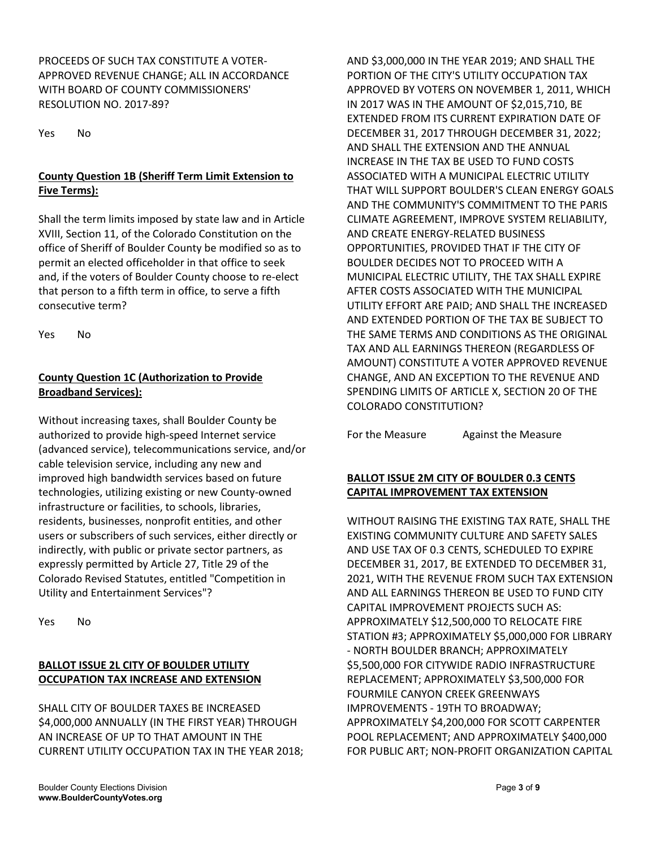PROCEEDS OF SUCH TAX CONSTITUTE A VOTER-APPROVED REVENUE CHANGE; ALL IN ACCORDANCE WITH BOARD OF COUNTY COMMISSIONERS' RESOLUTION NO. 2017-89?

Yes No

## **County Question 1B (Sheriff Term Limit Extension to Five Terms):**

Shall the term limits imposed by state law and in Article XVIII, Section 11, of the Colorado Constitution on the office of Sheriff of Boulder County be modified so as to permit an elected officeholder in that office to seek and, if the voters of Boulder County choose to re-elect that person to a fifth term in office, to serve a fifth consecutive term?

Yes No

## **County Question 1C (Authorization to Provide Broadband Services):**

Without increasing taxes, shall Boulder County be authorized to provide high-speed Internet service (advanced service), telecommunications service, and/or cable television service, including any new and improved high bandwidth services based on future technologies, utilizing existing or new County-owned infrastructure or facilities, to schools, libraries, residents, businesses, nonprofit entities, and other users or subscribers of such services, either directly or indirectly, with public or private sector partners, as expressly permitted by Article 27, Title 29 of the Colorado Revised Statutes, entitled "Competition in Utility and Entertainment Services"?

Yes No

#### **BALLOT ISSUE 2L CITY OF BOULDER UTILITY OCCUPATION TAX INCREASE AND EXTENSION**

SHALL CITY OF BOULDER TAXES BE INCREASED \$4,000,000 ANNUALLY (IN THE FIRST YEAR) THROUGH AN INCREASE OF UP TO THAT AMOUNT IN THE CURRENT UTILITY OCCUPATION TAX IN THE YEAR 2018;

AND \$3,000,000 IN THE YEAR 2019; AND SHALL THE PORTION OF THE CITY'S UTILITY OCCUPATION TAX APPROVED BY VOTERS ON NOVEMBER 1, 2011, WHICH IN 2017 WAS IN THE AMOUNT OF \$2,015,710, BE EXTENDED FROM ITS CURRENT EXPIRATION DATE OF DECEMBER 31, 2017 THROUGH DECEMBER 31, 2022; AND SHALL THE EXTENSION AND THE ANNUAL INCREASE IN THE TAX BE USED TO FUND COSTS ASSOCIATED WITH A MUNICIPAL ELECTRIC UTILITY THAT WILL SUPPORT BOULDER'S CLEAN ENERGY GOALS AND THE COMMUNITY'S COMMITMENT TO THE PARIS CLIMATE AGREEMENT, IMPROVE SYSTEM RELIABILITY, AND CREATE ENERGY-RELATED BUSINESS OPPORTUNITIES, PROVIDED THAT IF THE CITY OF BOULDER DECIDES NOT TO PROCEED WITH A MUNICIPAL ELECTRIC UTILITY, THE TAX SHALL EXPIRE AFTER COSTS ASSOCIATED WITH THE MUNICIPAL UTILITY EFFORT ARE PAID; AND SHALL THE INCREASED AND EXTENDED PORTION OF THE TAX BE SUBJECT TO THE SAME TERMS AND CONDITIONS AS THE ORIGINAL TAX AND ALL EARNINGS THEREON (REGARDLESS OF AMOUNT) CONSTITUTE A VOTER APPROVED REVENUE CHANGE, AND AN EXCEPTION TO THE REVENUE AND SPENDING LIMITS OF ARTICLE X, SECTION 20 OF THE COLORADO CONSTITUTION?

For the Measure **Against the Measure** 

## **BALLOT ISSUE 2M CITY OF BOULDER 0.3 CENTS CAPITAL IMPROVEMENT TAX EXTENSION**

WITHOUT RAISING THE EXISTING TAX RATE, SHALL THE EXISTING COMMUNITY CULTURE AND SAFETY SALES AND USE TAX OF 0.3 CENTS, SCHEDULED TO EXPIRE DECEMBER 31, 2017, BE EXTENDED TO DECEMBER 31, 2021, WITH THE REVENUE FROM SUCH TAX EXTENSION AND ALL EARNINGS THEREON BE USED TO FUND CITY CAPITAL IMPROVEMENT PROJECTS SUCH AS: APPROXIMATELY \$12,500,000 TO RELOCATE FIRE STATION #3; APPROXIMATELY \$5,000,000 FOR LIBRARY - NORTH BOULDER BRANCH; APPROXIMATELY \$5,500,000 FOR CITYWIDE RADIO INFRASTRUCTURE REPLACEMENT; APPROXIMATELY \$3,500,000 FOR FOURMILE CANYON CREEK GREENWAYS IMPROVEMENTS - 19TH TO BROADWAY; APPROXIMATELY \$4,200,000 FOR SCOTT CARPENTER POOL REPLACEMENT; AND APPROXIMATELY \$400,000 FOR PUBLIC ART; NON-PROFIT ORGANIZATION CAPITAL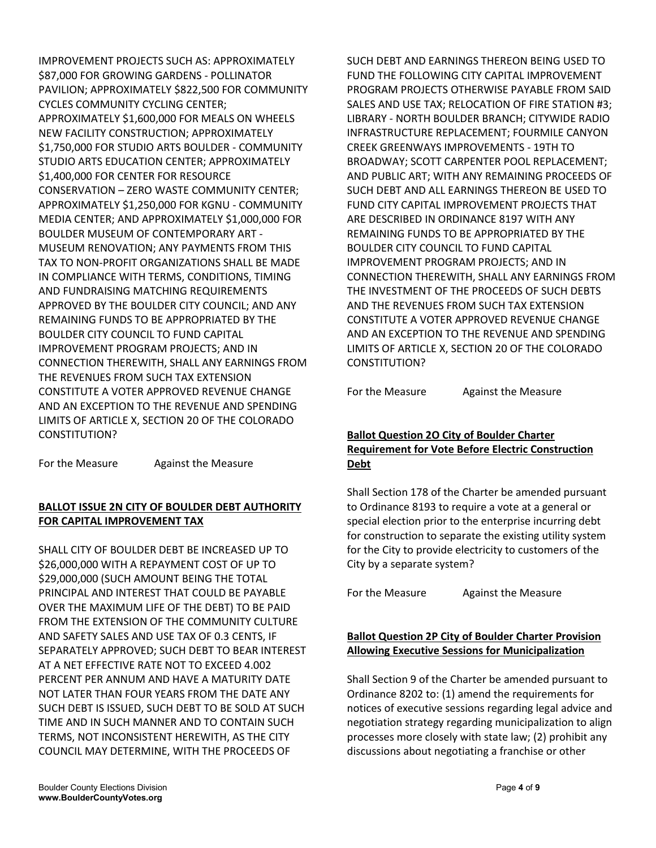IMPROVEMENT PROJECTS SUCH AS: APPROXIMATELY \$87,000 FOR GROWING GARDENS - POLLINATOR PAVILION; APPROXIMATELY \$822,500 FOR COMMUNITY CYCLES COMMUNITY CYCLING CENTER; APPROXIMATELY \$1,600,000 FOR MEALS ON WHEELS NEW FACILITY CONSTRUCTION; APPROXIMATELY \$1,750,000 FOR STUDIO ARTS BOULDER - COMMUNITY STUDIO ARTS EDUCATION CENTER; APPROXIMATELY \$1,400,000 FOR CENTER FOR RESOURCE CONSERVATION – ZERO WASTE COMMUNITY CENTER; APPROXIMATELY \$1,250,000 FOR KGNU - COMMUNITY MEDIA CENTER; AND APPROXIMATELY \$1,000,000 FOR BOULDER MUSEUM OF CONTEMPORARY ART - MUSEUM RENOVATION; ANY PAYMENTS FROM THIS TAX TO NON-PROFIT ORGANIZATIONS SHALL BE MADE IN COMPLIANCE WITH TERMS, CONDITIONS, TIMING AND FUNDRAISING MATCHING REQUIREMENTS APPROVED BY THE BOULDER CITY COUNCIL; AND ANY REMAINING FUNDS TO BE APPROPRIATED BY THE BOULDER CITY COUNCIL TO FUND CAPITAL IMPROVEMENT PROGRAM PROJECTS; AND IN CONNECTION THEREWITH, SHALL ANY EARNINGS FROM THE REVENUES FROM SUCH TAX EXTENSION CONSTITUTE A VOTER APPROVED REVENUE CHANGE AND AN EXCEPTION TO THE REVENUE AND SPENDING LIMITS OF ARTICLE X, SECTION 20 OF THE COLORADO CONSTITUTION?

For the Measure Against the Measure

## **BALLOT ISSUE 2N CITY OF BOULDER DEBT AUTHORITY FOR CAPITAL IMPROVEMENT TAX**

SHALL CITY OF BOULDER DEBT BE INCREASED UP TO \$26,000,000 WITH A REPAYMENT COST OF UP TO \$29,000,000 (SUCH AMOUNT BEING THE TOTAL PRINCIPAL AND INTEREST THAT COULD BE PAYABLE OVER THE MAXIMUM LIFE OF THE DEBT) TO BE PAID FROM THE EXTENSION OF THE COMMUNITY CULTURE AND SAFETY SALES AND USE TAX OF 0.3 CENTS, IF SEPARATELY APPROVED; SUCH DEBT TO BEAR INTEREST AT A NET EFFECTIVE RATE NOT TO EXCEED 4.002 PERCENT PER ANNUM AND HAVE A MATURITY DATE NOT LATER THAN FOUR YEARS FROM THE DATE ANY SUCH DEBT IS ISSUED, SUCH DEBT TO BE SOLD AT SUCH TIME AND IN SUCH MANNER AND TO CONTAIN SUCH TERMS, NOT INCONSISTENT HEREWITH, AS THE CITY COUNCIL MAY DETERMINE, WITH THE PROCEEDS OF

SUCH DEBT AND EARNINGS THEREON BEING USED TO FUND THE FOLLOWING CITY CAPITAL IMPROVEMENT PROGRAM PROJECTS OTHERWISE PAYABLE FROM SAID SALES AND USE TAX; RELOCATION OF FIRE STATION #3; LIBRARY - NORTH BOULDER BRANCH; CITYWIDE RADIO INFRASTRUCTURE REPLACEMENT; FOURMILE CANYON CREEK GREENWAYS IMPROVEMENTS - 19TH TO BROADWAY; SCOTT CARPENTER POOL REPLACEMENT; AND PUBLIC ART; WITH ANY REMAINING PROCEEDS OF SUCH DEBT AND ALL EARNINGS THEREON BE USED TO FUND CITY CAPITAL IMPROVEMENT PROJECTS THAT ARE DESCRIBED IN ORDINANCE 8197 WITH ANY REMAINING FUNDS TO BE APPROPRIATED BY THE BOULDER CITY COUNCIL TO FUND CAPITAL IMPROVEMENT PROGRAM PROJECTS; AND IN CONNECTION THEREWITH, SHALL ANY EARNINGS FROM THE INVESTMENT OF THE PROCEEDS OF SUCH DEBTS AND THE REVENUES FROM SUCH TAX EXTENSION CONSTITUTE A VOTER APPROVED REVENUE CHANGE AND AN EXCEPTION TO THE REVENUE AND SPENDING LIMITS OF ARTICLE X, SECTION 20 OF THE COLORADO CONSTITUTION?

For the Measure Against the Measure

## **Ballot Question 2O City of Boulder Charter Requirement for Vote Before Electric Construction Debt**

Shall Section 178 of the Charter be amended pursuant to Ordinance 8193 to require a vote at a general or special election prior to the enterprise incurring debt for construction to separate the existing utility system for the City to provide electricity to customers of the City by a separate system?

For the Measure **Against the Measure** 

## **Ballot Question 2P City of Boulder Charter Provision Allowing Executive Sessions for Municipalization**

Shall Section 9 of the Charter be amended pursuant to Ordinance 8202 to: (1) amend the requirements for notices of executive sessions regarding legal advice and negotiation strategy regarding municipalization to align processes more closely with state law; (2) prohibit any discussions about negotiating a franchise or other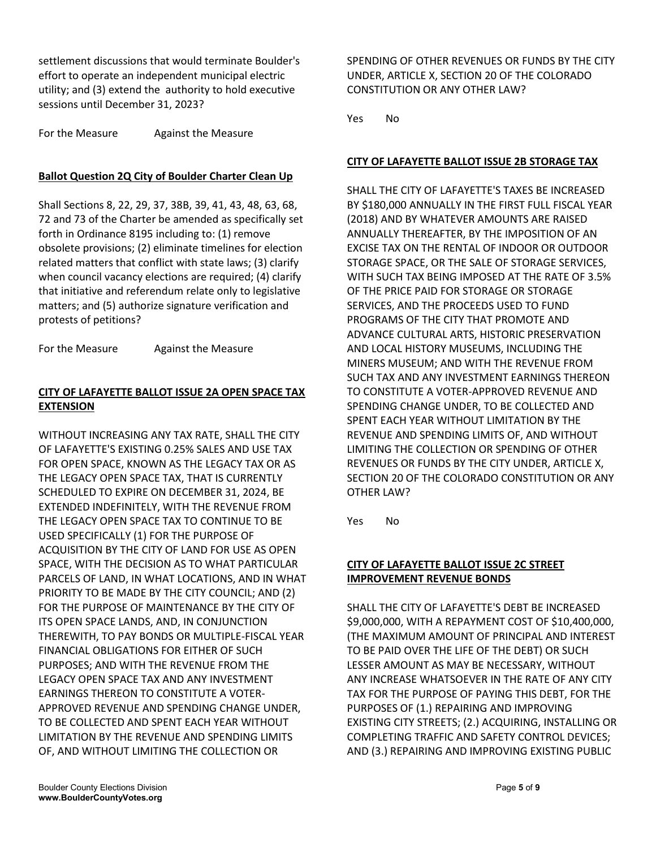settlement discussions that would terminate Boulder's effort to operate an independent municipal electric utility; and (3) extend the authority to hold executive sessions until December 31, 2023?

For the Measure Against the Measure

#### **Ballot Question 2Q City of Boulder Charter Clean Up**

Shall Sections 8, 22, 29, 37, 38B, 39, 41, 43, 48, 63, 68, 72 and 73 of the Charter be amended as specifically set forth in Ordinance 8195 including to: (1) remove obsolete provisions; (2) eliminate timelines for election related matters that conflict with state laws; (3) clarify when council vacancy elections are required; (4) clarify that initiative and referendum relate only to legislative matters; and (5) authorize signature verification and protests of petitions?

For the Measure Against the Measure

#### **CITY OF LAFAYETTE BALLOT ISSUE 2A OPEN SPACE TAX EXTENSION**

WITHOUT INCREASING ANY TAX RATE, SHALL THE CITY OF LAFAYETTE'S EXISTING 0.25% SALES AND USE TAX FOR OPEN SPACE, KNOWN AS THE LEGACY TAX OR AS THE LEGACY OPEN SPACE TAX, THAT IS CURRENTLY SCHEDULED TO EXPIRE ON DECEMBER 31, 2024, BE EXTENDED INDEFINITELY, WITH THE REVENUE FROM THE LEGACY OPEN SPACE TAX TO CONTINUE TO BE USED SPECIFICALLY (1) FOR THE PURPOSE OF ACQUISITION BY THE CITY OF LAND FOR USE AS OPEN SPACE, WITH THE DECISION AS TO WHAT PARTICULAR PARCELS OF LAND, IN WHAT LOCATIONS, AND IN WHAT PRIORITY TO BE MADE BY THE CITY COUNCIL; AND (2) FOR THE PURPOSE OF MAINTENANCE BY THE CITY OF ITS OPEN SPACE LANDS, AND, IN CONJUNCTION THEREWITH, TO PAY BONDS OR MULTIPLE-FISCAL YEAR FINANCIAL OBLIGATIONS FOR EITHER OF SUCH PURPOSES; AND WITH THE REVENUE FROM THE LEGACY OPEN SPACE TAX AND ANY INVESTMENT EARNINGS THEREON TO CONSTITUTE A VOTER-APPROVED REVENUE AND SPENDING CHANGE UNDER, TO BE COLLECTED AND SPENT EACH YEAR WITHOUT LIMITATION BY THE REVENUE AND SPENDING LIMITS OF, AND WITHOUT LIMITING THE COLLECTION OR

SPENDING OF OTHER REVENUES OR FUNDS BY THE CITY UNDER, ARTICLE X, SECTION 20 OF THE COLORADO CONSTITUTION OR ANY OTHER LAW?

Yes No

#### **CITY OF LAFAYETTE BALLOT ISSUE 2B STORAGE TAX**

SHALL THE CITY OF LAFAYETTE'S TAXES BE INCREASED BY \$180,000 ANNUALLY IN THE FIRST FULL FISCAL YEAR (2018) AND BY WHATEVER AMOUNTS ARE RAISED ANNUALLY THEREAFTER, BY THE IMPOSITION OF AN EXCISE TAX ON THE RENTAL OF INDOOR OR OUTDOOR STORAGE SPACE, OR THE SALE OF STORAGE SERVICES, WITH SUCH TAX BEING IMPOSED AT THE RATE OF 3.5% OF THE PRICE PAID FOR STORAGE OR STORAGE SERVICES, AND THE PROCEEDS USED TO FUND PROGRAMS OF THE CITY THAT PROMOTE AND ADVANCE CULTURAL ARTS, HISTORIC PRESERVATION AND LOCAL HISTORY MUSEUMS, INCLUDING THE MINERS MUSEUM; AND WITH THE REVENUE FROM SUCH TAX AND ANY INVESTMENT EARNINGS THEREON TO CONSTITUTE A VOTER-APPROVED REVENUE AND SPENDING CHANGE UNDER, TO BE COLLECTED AND SPENT EACH YEAR WITHOUT LIMITATION BY THE REVENUE AND SPENDING LIMITS OF, AND WITHOUT LIMITING THE COLLECTION OR SPENDING OF OTHER REVENUES OR FUNDS BY THE CITY UNDER, ARTICLE X, SECTION 20 OF THE COLORADO CONSTITUTION OR ANY OTHER LAW?

Yes No

#### **CITY OF LAFAYETTE BALLOT ISSUE 2C STREET IMPROVEMENT REVENUE BONDS**

SHALL THE CITY OF LAFAYETTE'S DEBT BE INCREASED \$9,000,000, WITH A REPAYMENT COST OF \$10,400,000, (THE MAXIMUM AMOUNT OF PRINCIPAL AND INTEREST TO BE PAID OVER THE LIFE OF THE DEBT) OR SUCH LESSER AMOUNT AS MAY BE NECESSARY, WITHOUT ANY INCREASE WHATSOEVER IN THE RATE OF ANY CITY TAX FOR THE PURPOSE OF PAYING THIS DEBT, FOR THE PURPOSES OF (1.) REPAIRING AND IMPROVING EXISTING CITY STREETS; (2.) ACQUIRING, INSTALLING OR COMPLETING TRAFFIC AND SAFETY CONTROL DEVICES; AND (3.) REPAIRING AND IMPROVING EXISTING PUBLIC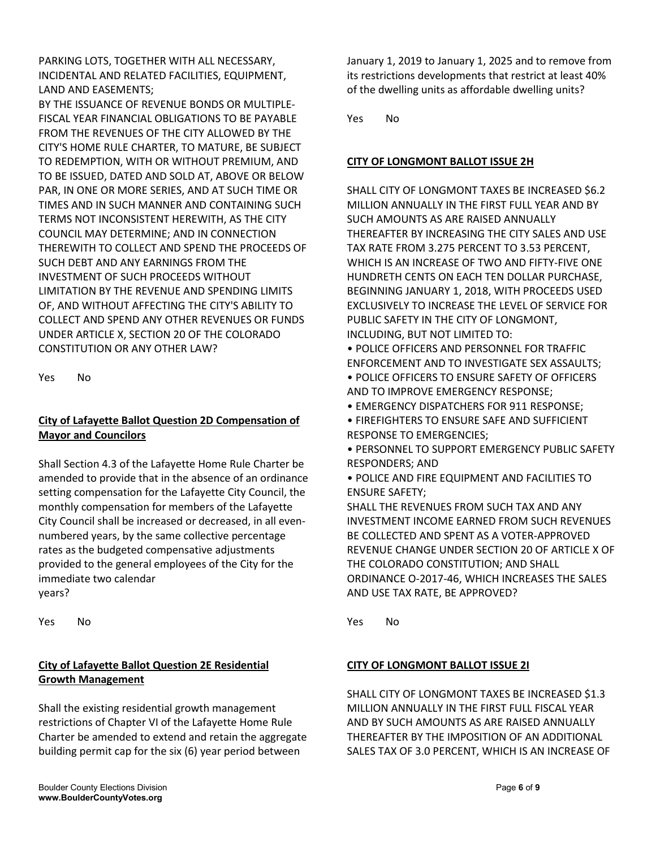PARKING LOTS, TOGETHER WITH ALL NECESSARY, INCIDENTAL AND RELATED FACILITIES, EQUIPMENT, LAND AND EASEMENTS;

BY THE ISSUANCE OF REVENUE BONDS OR MULTIPLE-FISCAL YEAR FINANCIAL OBLIGATIONS TO BE PAYABLE FROM THE REVENUES OF THE CITY ALLOWED BY THE CITY'S HOME RULE CHARTER, TO MATURE, BE SUBJECT TO REDEMPTION, WITH OR WITHOUT PREMIUM, AND TO BE ISSUED, DATED AND SOLD AT, ABOVE OR BELOW PAR, IN ONE OR MORE SERIES, AND AT SUCH TIME OR TIMES AND IN SUCH MANNER AND CONTAINING SUCH TERMS NOT INCONSISTENT HEREWITH, AS THE CITY COUNCIL MAY DETERMINE; AND IN CONNECTION THEREWITH TO COLLECT AND SPEND THE PROCEEDS OF SUCH DEBT AND ANY EARNINGS FROM THE INVESTMENT OF SUCH PROCEEDS WITHOUT LIMITATION BY THE REVENUE AND SPENDING LIMITS OF, AND WITHOUT AFFECTING THE CITY'S ABILITY TO COLLECT AND SPEND ANY OTHER REVENUES OR FUNDS UNDER ARTICLE X, SECTION 20 OF THE COLORADO CONSTITUTION OR ANY OTHER LAW?

Yes No

## **City of Lafayette Ballot Question 2D Compensation of Mayor and Councilors**

Shall Section 4.3 of the Lafayette Home Rule Charter be amended to provide that in the absence of an ordinance setting compensation for the Lafayette City Council, the monthly compensation for members of the Lafayette City Council shall be increased or decreased, in all evennumbered years, by the same collective percentage rates as the budgeted compensative adjustments provided to the general employees of the City for the immediate two calendar years?

Yes No

## **City of Lafayette Ballot Question 2E Residential Growth Management**

Shall the existing residential growth management restrictions of Chapter VI of the Lafayette Home Rule Charter be amended to extend and retain the aggregate building permit cap for the six (6) year period between

January 1, 2019 to January 1, 2025 and to remove from its restrictions developments that restrict at least 40% of the dwelling units as affordable dwelling units?

Yes No

## **CITY OF LONGMONT BALLOT ISSUE 2H**

SHALL CITY OF LONGMONT TAXES BE INCREASED \$6.2 MILLION ANNUALLY IN THE FIRST FULL YEAR AND BY SUCH AMOUNTS AS ARE RAISED ANNUALLY THEREAFTER BY INCREASING THE CITY SALES AND USE TAX RATE FROM 3.275 PERCENT TO 3.53 PERCENT, WHICH IS AN INCREASE OF TWO AND FIFTY-FIVE ONE HUNDRETH CENTS ON EACH TEN DOLLAR PURCHASE, BEGINNING JANUARY 1, 2018, WITH PROCEEDS USED EXCLUSIVELY TO INCREASE THE LEVEL OF SERVICE FOR PUBLIC SAFETY IN THE CITY OF LONGMONT, INCLUDING, BUT NOT LIMITED TO:

• POLICE OFFICERS AND PERSONNEL FOR TRAFFIC ENFORCEMENT AND TO INVESTIGATE SEX ASSAULTS;

- POLICE OFFICERS TO ENSURE SAFETY OF OFFICERS AND TO IMPROVE EMERGENCY RESPONSE;
- EMERGENCY DISPATCHERS FOR 911 RESPONSE;
- FIREFIGHTERS TO ENSURE SAFE AND SUFFICIENT RESPONSE TO EMERGENCIES;
- PERSONNEL TO SUPPORT EMERGENCY PUBLIC SAFETY RESPONDERS; AND
- POLICE AND FIRE EQUIPMENT AND FACILITIES TO ENSURE SAFETY;

SHALL THE REVENUES FROM SUCH TAX AND ANY INVESTMENT INCOME EARNED FROM SUCH REVENUES BE COLLECTED AND SPENT AS A VOTER-APPROVED REVENUE CHANGE UNDER SECTION 20 OF ARTICLE X OF THE COLORADO CONSTITUTION; AND SHALL ORDINANCE O-2017-46, WHICH INCREASES THE SALES AND USE TAX RATE, BE APPROVED?

Yes No

## **CITY OF LONGMONT BALLOT ISSUE 2I**

SHALL CITY OF LONGMONT TAXES BE INCREASED \$1.3 MILLION ANNUALLY IN THE FIRST FULL FISCAL YEAR AND BY SUCH AMOUNTS AS ARE RAISED ANNUALLY THEREAFTER BY THE IMPOSITION OF AN ADDITIONAL SALES TAX OF 3.0 PERCENT, WHICH IS AN INCREASE OF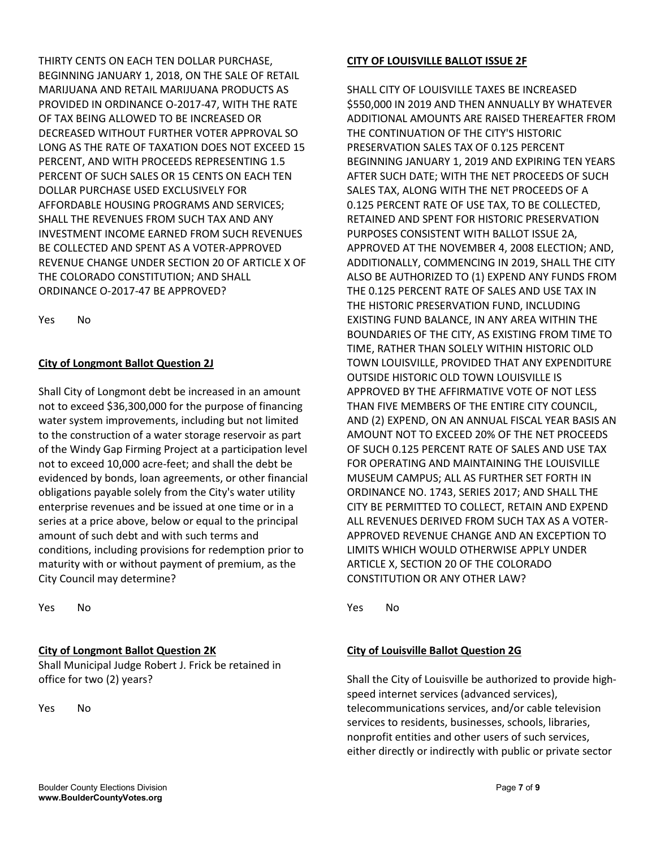THIRTY CENTS ON EACH TEN DOLLAR PURCHASE, BEGINNING JANUARY 1, 2018, ON THE SALE OF RETAIL MARIJUANA AND RETAIL MARIJUANA PRODUCTS AS PROVIDED IN ORDINANCE O-2017-47, WITH THE RATE OF TAX BEING ALLOWED TO BE INCREASED OR DECREASED WITHOUT FURTHER VOTER APPROVAL SO LONG AS THE RATE OF TAXATION DOES NOT EXCEED 15 PERCENT, AND WITH PROCEEDS REPRESENTING 1.5 PERCENT OF SUCH SALES OR 15 CENTS ON EACH TEN DOLLAR PURCHASE USED EXCLUSIVELY FOR AFFORDABLE HOUSING PROGRAMS AND SERVICES; SHALL THE REVENUES FROM SUCH TAX AND ANY INVESTMENT INCOME EARNED FROM SUCH REVENUES BE COLLECTED AND SPENT AS A VOTER-APPROVED REVENUE CHANGE UNDER SECTION 20 OF ARTICLE X OF THE COLORADO CONSTITUTION; AND SHALL ORDINANCE O-2017-47 BE APPROVED?

Yes No

## **City of Longmont Ballot Question 2J**

Shall City of Longmont debt be increased in an amount not to exceed \$36,300,000 for the purpose of financing water system improvements, including but not limited to the construction of a water storage reservoir as part of the Windy Gap Firming Project at a participation level not to exceed 10,000 acre-feet; and shall the debt be evidenced by bonds, loan agreements, or other financial obligations payable solely from the City's water utility enterprise revenues and be issued at one time or in a series at a price above, below or equal to the principal amount of such debt and with such terms and conditions, including provisions for redemption prior to maturity with or without payment of premium, as the City Council may determine?

Yes No

#### **City of Longmont Ballot Question 2K**

Shall Municipal Judge Robert J. Frick be retained in office for two (2) years?

Yes No

#### **CITY OF LOUISVILLE BALLOT ISSUE 2F**

SHALL CITY OF LOUISVILLE TAXES BE INCREASED \$550,000 IN 2019 AND THEN ANNUALLY BY WHATEVER ADDITIONAL AMOUNTS ARE RAISED THEREAFTER FROM THE CONTINUATION OF THE CITY'S HISTORIC PRESERVATION SALES TAX OF 0.125 PERCENT BEGINNING JANUARY 1, 2019 AND EXPIRING TEN YEARS AFTER SUCH DATE; WITH THE NET PROCEEDS OF SUCH SALES TAX, ALONG WITH THE NET PROCEEDS OF A 0.125 PERCENT RATE OF USE TAX, TO BE COLLECTED, RETAINED AND SPENT FOR HISTORIC PRESERVATION PURPOSES CONSISTENT WITH BALLOT ISSUE 2A, APPROVED AT THE NOVEMBER 4, 2008 ELECTION; AND, ADDITIONALLY, COMMENCING IN 2019, SHALL THE CITY ALSO BE AUTHORIZED TO (1) EXPEND ANY FUNDS FROM THE 0.125 PERCENT RATE OF SALES AND USE TAX IN THE HISTORIC PRESERVATION FUND, INCLUDING EXISTING FUND BALANCE, IN ANY AREA WITHIN THE BOUNDARIES OF THE CITY, AS EXISTING FROM TIME TO TIME, RATHER THAN SOLELY WITHIN HISTORIC OLD TOWN LOUISVILLE, PROVIDED THAT ANY EXPENDITURE OUTSIDE HISTORIC OLD TOWN LOUISVILLE IS APPROVED BY THE AFFIRMATIVE VOTE OF NOT LESS THAN FIVE MEMBERS OF THE ENTIRE CITY COUNCIL, AND (2) EXPEND, ON AN ANNUAL FISCAL YEAR BASIS AN AMOUNT NOT TO EXCEED 20% OF THE NET PROCEEDS OF SUCH 0.125 PERCENT RATE OF SALES AND USE TAX FOR OPERATING AND MAINTAINING THE LOUISVILLE MUSEUM CAMPUS; ALL AS FURTHER SET FORTH IN ORDINANCE NO. 1743, SERIES 2017; AND SHALL THE CITY BE PERMITTED TO COLLECT, RETAIN AND EXPEND ALL REVENUES DERIVED FROM SUCH TAX AS A VOTER-APPROVED REVENUE CHANGE AND AN EXCEPTION TO LIMITS WHICH WOULD OTHERWISE APPLY UNDER ARTICLE X, SECTION 20 OF THE COLORADO CONSTITUTION OR ANY OTHER LAW?

Yes No

## **City of Louisville Ballot Question 2G**

Shall the City of Louisville be authorized to provide highspeed internet services (advanced services), telecommunications services, and/or cable television services to residents, businesses, schools, libraries, nonprofit entities and other users of such services, either directly or indirectly with public or private sector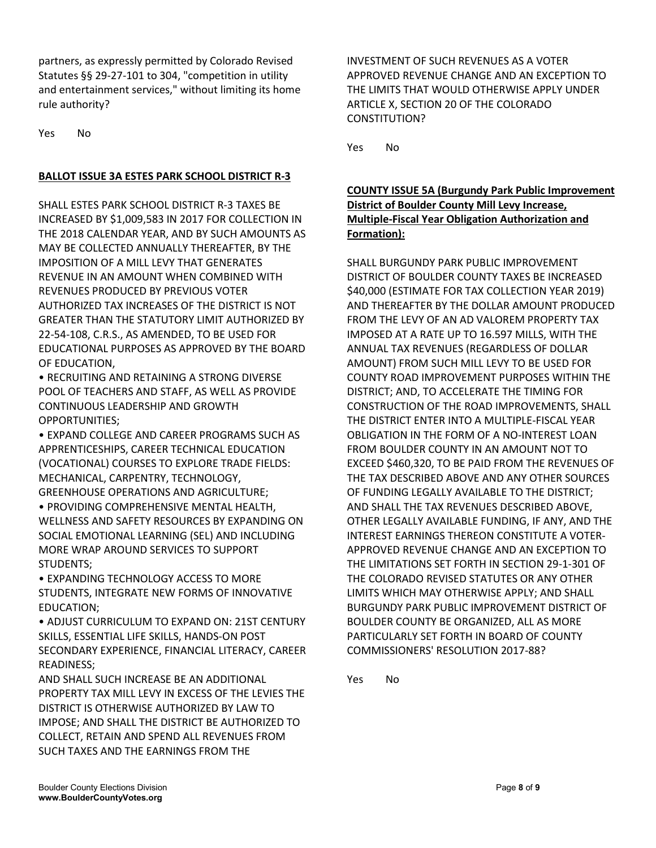partners, as expressly permitted by Colorado Revised Statutes §§ 29-27-101 to 304, "competition in utility and entertainment services," without limiting its home rule authority?

Yes No

#### **BALLOT ISSUE 3A ESTES PARK SCHOOL DISTRICT R-3**

SHALL ESTES PARK SCHOOL DISTRICT R-3 TAXES BE INCREASED BY \$1,009,583 IN 2017 FOR COLLECTION IN THE 2018 CALENDAR YEAR, AND BY SUCH AMOUNTS AS MAY BE COLLECTED ANNUALLY THEREAFTER, BY THE IMPOSITION OF A MILL LEVY THAT GENERATES REVENUE IN AN AMOUNT WHEN COMBINED WITH REVENUES PRODUCED BY PREVIOUS VOTER AUTHORIZED TAX INCREASES OF THE DISTRICT IS NOT GREATER THAN THE STATUTORY LIMIT AUTHORIZED BY 22-54-108, C.R.S., AS AMENDED, TO BE USED FOR EDUCATIONAL PURPOSES AS APPROVED BY THE BOARD OF EDUCATION,

• RECRUITING AND RETAINING A STRONG DIVERSE POOL OF TEACHERS AND STAFF, AS WELL AS PROVIDE CONTINUOUS LEADERSHIP AND GROWTH OPPORTUNITIES;

• EXPAND COLLEGE AND CAREER PROGRAMS SUCH AS APPRENTICESHIPS, CAREER TECHNICAL EDUCATION (VOCATIONAL) COURSES TO EXPLORE TRADE FIELDS: MECHANICAL, CARPENTRY, TECHNOLOGY,

GREENHOUSE OPERATIONS AND AGRICULTURE; • PROVIDING COMPREHENSIVE MENTAL HEALTH, WELLNESS AND SAFETY RESOURCES BY EXPANDING ON SOCIAL EMOTIONAL LEARNING (SEL) AND INCLUDING MORE WRAP AROUND SERVICES TO SUPPORT STUDENTS;

• EXPANDING TECHNOLOGY ACCESS TO MORE STUDENTS, INTEGRATE NEW FORMS OF INNOVATIVE EDUCATION;

• ADJUST CURRICULUM TO EXPAND ON: 21ST CENTURY SKILLS, ESSENTIAL LIFE SKILLS, HANDS-ON POST SECONDARY EXPERIENCE, FINANCIAL LITERACY, CAREER READINESS;

AND SHALL SUCH INCREASE BE AN ADDITIONAL PROPERTY TAX MILL LEVY IN EXCESS OF THE LEVIES THE DISTRICT IS OTHERWISE AUTHORIZED BY LAW TO IMPOSE; AND SHALL THE DISTRICT BE AUTHORIZED TO COLLECT, RETAIN AND SPEND ALL REVENUES FROM SUCH TAXES AND THE EARNINGS FROM THE

INVESTMENT OF SUCH REVENUES AS A VOTER APPROVED REVENUE CHANGE AND AN EXCEPTION TO THE LIMITS THAT WOULD OTHERWISE APPLY UNDER ARTICLE X, SECTION 20 OF THE COLORADO CONSTITUTION?

Yes No

## **COUNTY ISSUE 5A (Burgundy Park Public Improvement District of Boulder County Mill Levy Increase, Multiple-Fiscal Year Obligation Authorization and Formation):**

SHALL BURGUNDY PARK PUBLIC IMPROVEMENT DISTRICT OF BOULDER COUNTY TAXES BE INCREASED \$40,000 (ESTIMATE FOR TAX COLLECTION YEAR 2019) AND THEREAFTER BY THE DOLLAR AMOUNT PRODUCED FROM THE LEVY OF AN AD VALOREM PROPERTY TAX IMPOSED AT A RATE UP TO 16.597 MILLS, WITH THE ANNUAL TAX REVENUES (REGARDLESS OF DOLLAR AMOUNT) FROM SUCH MILL LEVY TO BE USED FOR COUNTY ROAD IMPROVEMENT PURPOSES WITHIN THE DISTRICT; AND, TO ACCELERATE THE TIMING FOR CONSTRUCTION OF THE ROAD IMPROVEMENTS, SHALL THE DISTRICT ENTER INTO A MULTIPLE-FISCAL YEAR OBLIGATION IN THE FORM OF A NO-INTEREST LOAN FROM BOULDER COUNTY IN AN AMOUNT NOT TO EXCEED \$460,320, TO BE PAID FROM THE REVENUES OF THE TAX DESCRIBED ABOVE AND ANY OTHER SOURCES OF FUNDING LEGALLY AVAILABLE TO THE DISTRICT; AND SHALL THE TAX REVENUES DESCRIBED ABOVE, OTHER LEGALLY AVAILABLE FUNDING, IF ANY, AND THE INTEREST EARNINGS THEREON CONSTITUTE A VOTER-APPROVED REVENUE CHANGE AND AN EXCEPTION TO THE LIMITATIONS SET FORTH IN SECTION 29-1-301 OF THE COLORADO REVISED STATUTES OR ANY OTHER LIMITS WHICH MAY OTHERWISE APPLY; AND SHALL BURGUNDY PARK PUBLIC IMPROVEMENT DISTRICT OF BOULDER COUNTY BE ORGANIZED, ALL AS MORE PARTICULARLY SET FORTH IN BOARD OF COUNTY COMMISSIONERS' RESOLUTION 2017-88?

Yes No